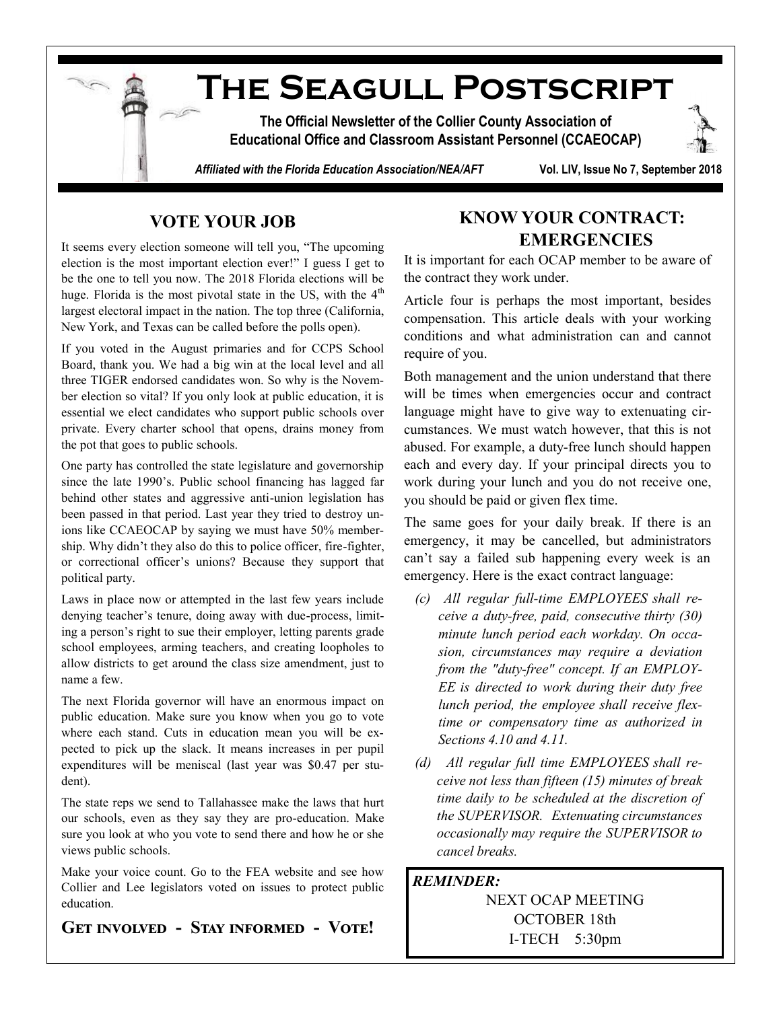

# **VOTE YOUR JOB**

It seems every election someone will tell you, "The upcoming election is the most important election ever!" I guess I get to be the one to tell you now. The 2018 Florida elections will be huge. Florida is the most pivotal state in the US, with the  $4<sup>th</sup>$ largest electoral impact in the nation. The top three (California, New York, and Texas can be called before the polls open).

If you voted in the August primaries and for CCPS School Board, thank you. We had a big win at the local level and all three TIGER endorsed candidates won. So why is the November election so vital? If you only look at public education, it is essential we elect candidates who support public schools over private. Every charter school that opens, drains money from the pot that goes to public schools.

One party has controlled the state legislature and governorship since the late 1990's. Public school financing has lagged far behind other states and aggressive anti-union legislation has been passed in that period. Last year they tried to destroy unions like CCAEOCAP by saying we must have 50% membership. Why didn't they also do this to police officer, fire-fighter, or correctional officer's unions? Because they support that political party.

Laws in place now or attempted in the last few years include denying teacher's tenure, doing away with due-process, limiting a person's right to sue their employer, letting parents grade school employees, arming teachers, and creating loopholes to allow districts to get around the class size amendment, just to name a few.

The next Florida governor will have an enormous impact on public education. Make sure you know when you go to vote where each stand. Cuts in education mean you will be expected to pick up the slack. It means increases in per pupil expenditures will be meniscal (last year was \$0.47 per student).

The state reps we send to Tallahassee make the laws that hurt our schools, even as they say they are pro-education. Make sure you look at who you vote to send there and how he or she views public schools.

Make your voice count. Go to the FEA website and see how Collier and Lee legislators voted on issues to protect public education.

## **Get involved - Stay informed - Vote!**

# **KNOW YOUR CONTRACT: EMERGENCIES**

It is important for each OCAP member to be aware of the contract they work under.

Article four is perhaps the most important, besides compensation. This article deals with your working conditions and what administration can and cannot require of you.

Both management and the union understand that there will be times when emergencies occur and contract language might have to give way to extenuating circumstances. We must watch however, that this is not abused. For example, a duty-free lunch should happen each and every day. If your principal directs you to work during your lunch and you do not receive one, you should be paid or given flex time.

The same goes for your daily break. If there is an emergency, it may be cancelled, but administrators can't say a failed sub happening every week is an emergency. Here is the exact contract language:

- *(c) All regular full-time EMPLOYEES shall receive a duty-free, paid, consecutive thirty (30) minute lunch period each workday. On occasion, circumstances may require a deviation from the "duty-free" concept. If an EMPLOY-EE is directed to work during their duty free lunch period, the employee shall receive flextime or compensatory time as authorized in Sections 4.10 and 4.11.*
- *(d) All regular full time EMPLOYEES shall receive not less than fifteen (15) minutes of break time daily to be scheduled at the discretion of the SUPERVISOR. Extenuating circumstances occasionally may require the SUPERVISOR to cancel breaks.*

#### *REMINDER:*

NEXT OCAP MEETING OCTOBER 18th I-TECH 5:30pm